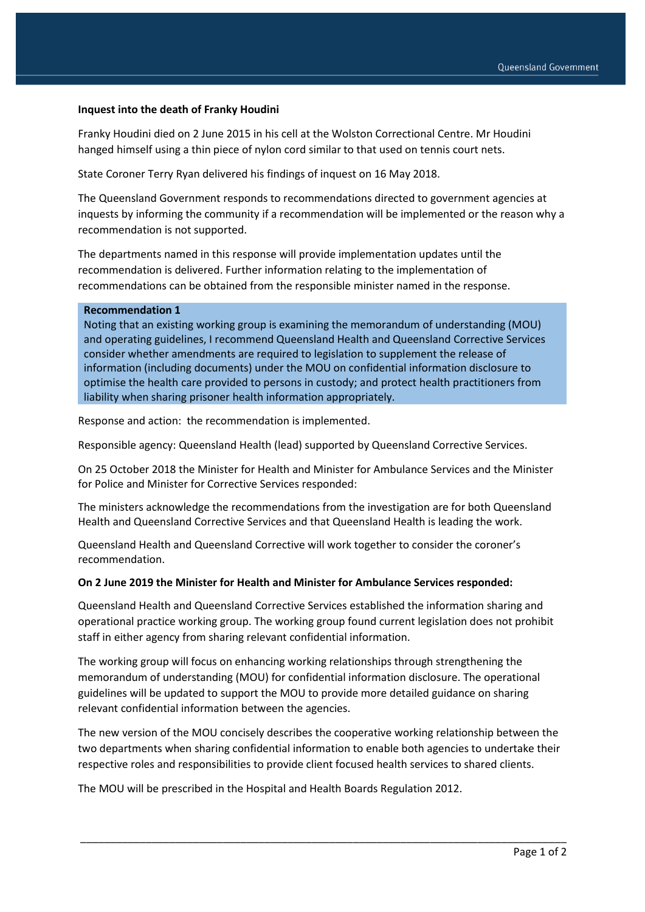### **Inquest into the death of Franky Houdini**

Franky Houdini died on 2 June 2015 in his cell at the Wolston Correctional Centre. Mr Houdini hanged himself using a thin piece of nylon cord similar to that used on tennis court nets.

State Coroner Terry Ryan delivered his findings of inquest on 16 May 2018.

The Queensland Government responds to recommendations directed to government agencies at inquests by informing the community if a recommendation will be implemented or the reason why a recommendation is not supported.

The departments named in this response will provide implementation updates until the recommendation is delivered. Further information relating to the implementation of recommendations can be obtained from the responsible minister named in the response.

#### **Recommendation 1**

Noting that an existing working group is examining the memorandum of understanding (MOU) and operating guidelines, I recommend Queensland Health and Queensland Corrective Services consider whether amendments are required to legislation to supplement the release of information (including documents) under the MOU on confidential information disclosure to optimise the health care provided to persons in custody; and protect health practitioners from liability when sharing prisoner health information appropriately.

Response and action: the recommendation is implemented.

Responsible agency: Queensland Health (lead) supported by Queensland Corrective Services.

On 25 October 2018 the Minister for Health and Minister for Ambulance Services and the Minister for Police and Minister for Corrective Services responded:

The ministers acknowledge the recommendations from the investigation are for both Queensland Health and Queensland Corrective Services and that Queensland Health is leading the work.

Queensland Health and Queensland Corrective will work together to consider the coroner's recommendation.

#### **On 2 June 2019 the Minister for Health and Minister for Ambulance Services responded:**

Queensland Health and Queensland Corrective Services established the information sharing and operational practice working group. The working group found current legislation does not prohibit staff in either agency from sharing relevant confidential information.

The working group will focus on enhancing working relationships through strengthening the memorandum of understanding (MOU) for confidential information disclosure. The operational guidelines will be updated to support the MOU to provide more detailed guidance on sharing relevant confidential information between the agencies.

The new version of the MOU concisely describes the cooperative working relationship between the two departments when sharing confidential information to enable both agencies to undertake their respective roles and responsibilities to provide client focused health services to shared clients.

\_\_\_\_\_\_\_\_\_\_\_\_\_\_\_\_\_\_\_\_\_\_\_\_\_\_\_\_\_\_\_\_\_\_\_\_\_\_\_\_\_\_\_\_\_\_\_\_\_\_\_\_\_\_\_\_\_\_\_\_\_\_\_\_\_\_\_\_\_\_\_\_\_\_\_\_\_\_\_\_\_\_

The MOU will be prescribed in the Hospital and Health Boards Regulation 2012.